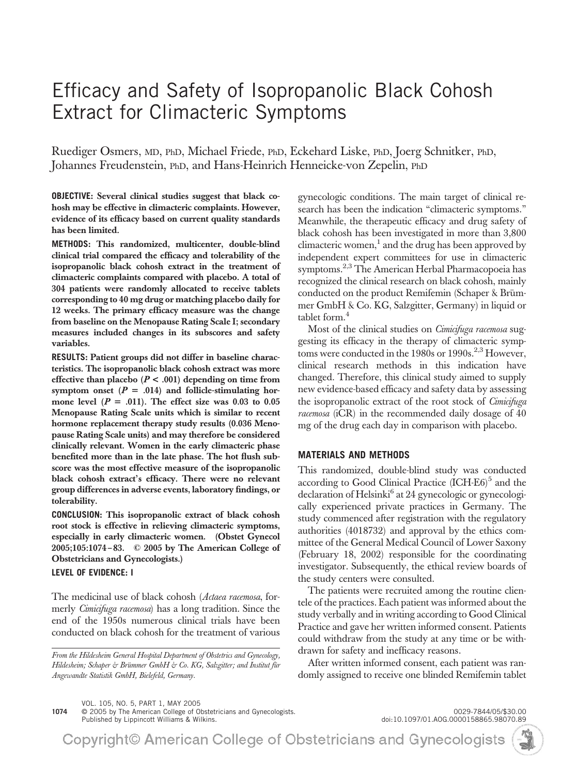# Efficacy and Safety of Isopropanolic Black Cohosh Extract for Climacteric Symptoms

Ruediger Osmers, MD, PhD, Michael Friede, PhD, Eckehard Liske, PhD, Joerg Schnitker, PhD, Johannes Freudenstein, PhD, and Hans-Heinrich Henneicke-von Zepelin, PhD

**OBJECTIVE:** Several clinical studies suggest that black cohosh may be effective in climacteric complaints. However, evidence of its efficacy based on current quality standards has been limited.

**METHODS:** This randomized, multicenter, double-blind clinical trial compared the efficacy and tolerability of the isopropanolic black cohosh extract in the treatment of climacteric complaints compared with placebo. A total of 304 patients were randomly allocated to receive tablets corresponding to 40 mg drug or matching placebo daily for 12 weeks. The primary efficacy measure was the change from baseline on the Menopause Rating Scale I; secondary measures included changes in its subscores and safety variables.

**RESULTS:** Patient groups did not differ in baseline characteristics. The isopropanolic black cohosh extract was more effective than placebo  $(P < .001)$  depending on time from symptom onset  $(P = .014)$  and follicle-stimulating hormone level  $(P = .011)$ . The effect size was 0.03 to 0.05 Menopause Rating Scale units which is similar to recent hormone replacement therapy study results (0.036 Menopause Rating Scale units) and may therefore be considered clinically relevant. Women in the early climacteric phase benefited more than in the late phase. The hot flush subscore was the most effective measure of the isopropanolic black cohosh extract's efficacy. There were no relevant group differences in adverse events, laboratory findings, or tolerability.

**CONCLUSION:** This isopropanolic extract of black cohosh root stock is effective in relieving climacteric symptoms, especially in early climacteric women. (Obstet Gynecol 2005;105:1074 – 83. © 2005 by The American College of Obstetricians and Gynecologists.)

# **LEVEL OF EVIDENCE: I**

The medicinal use of black cohosh (*Actaea racemosa*, formerly *Cimicifuga racemosa*) has a long tradition. Since the end of the 1950s numerous clinical trials have been conducted on black cohosh for the treatment of various

*From the Hildesheim General Hospital Department of Obstetrics and Gynecology, Hildesheim; Schaper & Brümmer GmbH & Co. KG, Salzgitter; and Institut für Angewandte Statistik GmbH, Bielefeld, Germany.*

gynecologic conditions. The main target of clinical research has been the indication "climacteric symptoms." Meanwhile, the therapeutic efficacy and drug safety of black cohosh has been investigated in more than 3,800 climacteric women, $\frac{1}{2}$  and the drug has been approved by independent expert committees for use in climacteric symptoms.<sup>2,3</sup> The American Herbal Pharmacopoeia has recognized the clinical research on black cohosh, mainly conducted on the product Remifemin (Schaper & Brümmer GmbH & Co. KG, Salzgitter, Germany) in liquid or tablet form. $<sup>4</sup>$ </sup>

Most of the clinical studies on *Cimicifuga racemosa* suggesting its efficacy in the therapy of climacteric symptoms were conducted in the 1980s or 1990s.<sup>2,3</sup> However, clinical research methods in this indication have changed. Therefore, this clinical study aimed to supply new evidence-based efficacy and safety data by assessing the isopropanolic extract of the root stock of *Cimicifuga racemosa* (iCR) in the recommended daily dosage of 40 mg of the drug each day in comparison with placebo.

# **MATERIALS AND METHODS**

This randomized, double-blind study was conducted according to Good Clinical Practice (ICH-E6)<sup>5</sup> and the declaration of Helsinki<sup>6</sup> at 24 gynecologic or gynecologically experienced private practices in Germany. The study commenced after registration with the regulatory authorities (4018732) and approval by the ethics committee of the General Medical Council of Lower Saxony (February 18, 2002) responsible for the coordinating investigator. Subsequently, the ethical review boards of the study centers were consulted.

The patients were recruited among the routine clientele of the practices. Each patient was informed about the study verbally and in writing according to Good Clinical Practice and gave her written informed consent. Patients could withdraw from the study at any time or be withdrawn for safety and inefficacy reasons.

After written informed consent, each patient was randomly assigned to receive one blinded Remifemin tablet

VOL. 105, NO. 5, PART 1, MAY 2005

**1074** © 2005 by The American College of Obstetricians and Gynecologists. 0029-7844/05/\$30.00 Published by Lippincott Williams & Wilkins. doi:10.1097/01.AOG.0000158865.98070.89

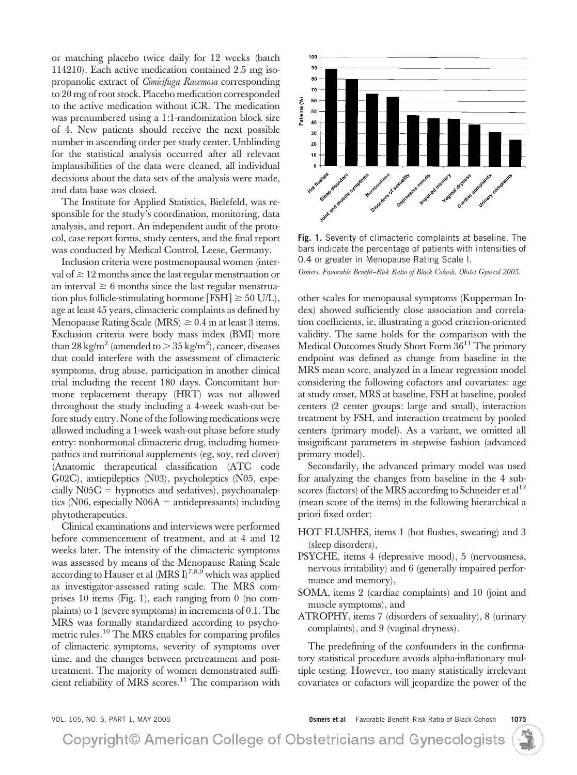or matching placebo twice daily for 12 weeks (batch 114210). Each active medication contained 2.5 mg isopropanolic extract of *Cimicifuga Racemosa* corresponding to 20 mg of root stock. Placebo medication corresponded to the active medication without iCR. The medication was prenumbered using a 1:1-randomization block size of 4. New patients should receive the next possible number in ascending order per study center. Unblinding for the statistical analysis occurred after all relevant implausibilities of the data were cleaned, all individual decisions about the data sets of the analysis were made, and data base was closed.

The Institute for Applied Statistics, Bielefeld, was responsible for the study's coordination, monitoring, data analysis, and report. An independent audit of the protocol, case report forms, study centers, and the final report was conducted by Medical Control, Leese, Germany.

Inclusion criteria were postmenopausal women (interval of  $\geq 12$  months since the last regular menstruation or an interval  $\geq 6$  months since the last regular menstruation plus follicle-stimulating hormone  $[FSH] \geq 50$  U/L), age at least 45 years, climacteric complaints as defined by Menopause Rating Scale (MRS)  $\geq 0.4$  in at least 3 items. Exclusion criteria were body mass index (BMI) more than 28 kg/m $^2$  (amended to  $>$  35 kg/m $^2$ ), cancer, diseases that could interfere with the assessment of climacteric symptoms, drug abuse, participation in another clinical trial including the recent 180 days. Concomitant hormone replacement therapy (HRT) was not allowed throughout the study including a 4-week wash-out before study entry. None of the following medications were allowed including a 1-week wash-out phase before study entry: nonhormonal climacteric drug, including homeopathics and nutritional supplements (eg, soy, red clover) (Anatomic therapeutical classification (ATC code G02C), antiepileptics (N03), psycholeptics (N05, especially  $N05C =$  hypnotics and sedatives), psychoanaleptics ( $N06$ , especially  $N06A =$  antidepressants) including phytotherapeutics.

Clinical examinations and interviews were performed before commencement of treatment, and at 4 and 12 weeks later. The intensity of the climacteric symptoms was assessed by means of the Menopause Rating Scale according to Hauser et al  $(MRS I)^{7,8,9}$  which was applied as investigator-assessed rating scale. The MRS comprises 10 items (Fig. 1), each ranging from 0 (no complaints) to 1 (severe symptoms) in increments of 0.1. The MRS was formally standardized according to psychometric rules.<sup>10</sup> The MRS enables for comparing profiles of climacteric symptoms, severity of symptoms over time, and the changes between pretreatment and posttreatment. The majority of women demonstrated sufficient reliability of MRS scores.<sup>11</sup> The comparison with



**Fig. 1.** Severity of climacteric complaints at baseline. The bars indicate the percentage of patients with intensities of 0.4 or greater in Menopause Rating Scale I.

*Osmers. Favorable Benefit–Risk Ratio of Black Cohosh. Obstet Gynecol 2005.*

other scales for menopausal symptoms (Kupperman Index) showed sufficiently close association and correlation coefficients, ie, illustrating a good criterion-oriented validity. The same holds for the comparison with the Medical Outcomes Study Short Form  $36<sup>11</sup>$  The primary endpoint was defined as change from baseline in the MRS mean score, analyzed in a linear regression model considering the following cofactors and covariates: age at study onset, MRS at baseline, FSH at baseline, pooled centers (2 center groups: large and small), interaction treatment by FSH, and interaction treatment by pooled centers (primary model). As a variant, we omitted all insignificant parameters in stepwise fashion (advanced primary model).

Secondarily, the advanced primary model was used for analyzing the changes from baseline in the 4 subscores (factors) of the MRS according to Schneider et al<sup>12</sup> (mean score of the items) in the following hierarchical a priori fixed order:

- HOT FLUSHES, items 1 (hot flushes, sweating) and 3 (sleep disorders),
- PSYCHE, items 4 (depressive mood), 5 (nervousness, nervous irritability) and 6 (generally impaired performance and memory),
- SOMA, items 2 (cardiac complaints) and 10 (joint and muscle symptoms), and
- ATROPHY, items 7 (disorders of sexuality), 8 (urinary complaints), and 9 (vaginal dryness).

The predefining of the confounders in the confirmatory statistical procedure avoids alpha-inflationary multiple testing. However, too many statistically irrelevant covariates or cofactors will jeopardize the power of the

VOL. 105, NO. 5, PART 1, MAY 2005 **Osmers et al** Favorable Benefit–Risk Ratio of Black Cohosh **1075**

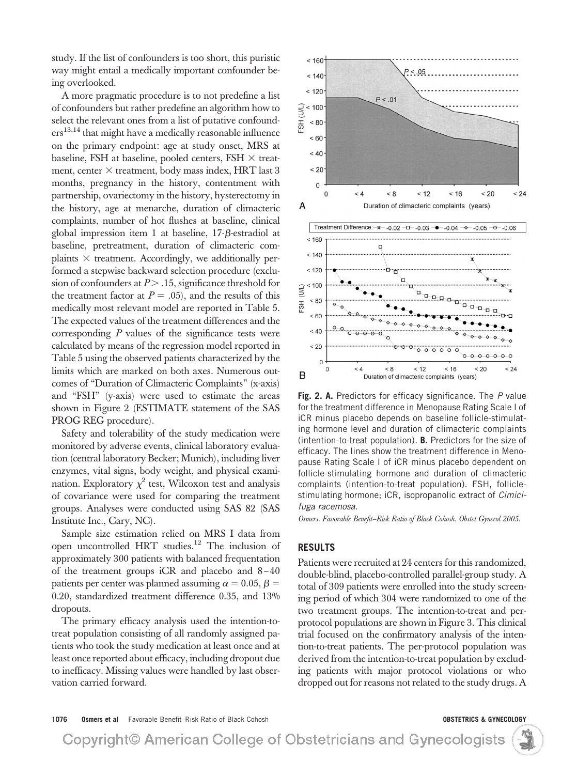study. If the list of confounders is too short, this puristic way might entail a medically important confounder being overlooked.

A more pragmatic procedure is to not predefine a list of confounders but rather predefine an algorithm how to select the relevant ones from a list of putative confound $ers^{13,14}$  that might have a medically reasonable influence on the primary endpoint: age at study onset, MRS at baseline, FSH at baseline, pooled centers, FSH  $\times$  treatment, center  $\times$  treatment, body mass index, HRT last 3 months, pregnancy in the history, contentment with partnership, ovariectomy in the history, hysterectomy in the history, age at menarche, duration of climacteric complaints, number of hot flushes at baseline, clinical global impression item 1 at baseline, 17-ß-estradiol at baseline, pretreatment, duration of climacteric complaints  $\times$  treatment. Accordingly, we additionally performed a stepwise backward selection procedure (exclusion of confounders at  $P > 0.15$ , significance threshold for the treatment factor at  $P = .05$ ), and the results of this medically most relevant model are reported in Table 5. The expected values of the treatment differences and the corresponding *P* values of the significance tests were calculated by means of the regression model reported in Table 5 using the observed patients characterized by the limits which are marked on both axes. Numerous outcomes of "Duration of Climacteric Complaints" (x-axis) and "FSH" (y-axis) were used to estimate the areas shown in Figure 2 (ESTIMATE statement of the SAS PROG REG procedure).

Safety and tolerability of the study medication were monitored by adverse events, clinical laboratory evaluation (central laboratory Becker; Munich), including liver enzymes, vital signs, body weight, and physical examination. Exploratory  $\chi^2$  test, Wilcoxon test and analysis of covariance were used for comparing the treatment groups. Analyses were conducted using SAS 82 (SAS Institute Inc., Cary, NC).

Sample size estimation relied on MRS I data from open uncontrolled HRT studies.12 The inclusion of approximately 300 patients with balanced frequentation of the treatment groups iCR and placebo and 8 – 40 patients per center was planned assuming  $\alpha = 0.05, \beta =$ 0.20, standardized treatment difference 0.35, and 13% dropouts.

The primary efficacy analysis used the intention-totreat population consisting of all randomly assigned patients who took the study medication at least once and at least once reported about efficacy, including dropout due to inefficacy. Missing values were handled by last observation carried forward.



**Fig. 2. A.** Predictors for efficacy significance. The *P* value for the treatment difference in Menopause Rating Scale I of iCR minus placebo depends on baseline follicle-stimulating hormone level and duration of climacteric complaints (intention-to-treat population). **B.** Predictors for the size of efficacy. The lines show the treatment difference in Menopause Rating Scale I of iCR minus placebo dependent on follicle-stimulating hormone and duration of climacteric complaints (intention-to-treat population). FSH, folliclestimulating hormone; iCR, isopropanolic extract of *Cimicifuga racemosa*.

*Osmers. Favorable Benefit–Risk Ratio of Black Cohosh. Obstet Gynecol 2005.*

## **RESULTS**

Patients were recruited at 24 centers for this randomized, double-blind, placebo-controlled parallel-group study. A total of 309 patients were enrolled into the study screening period of which 304 were randomized to one of the two treatment groups. The intention-to-treat and perprotocol populations are shown in Figure 3. This clinical trial focused on the confirmatory analysis of the intention-to-treat patients. The per-protocol population was derived from the intention-to-treat population by excluding patients with major protocol violations or who dropped out for reasons not related to the study drugs. A

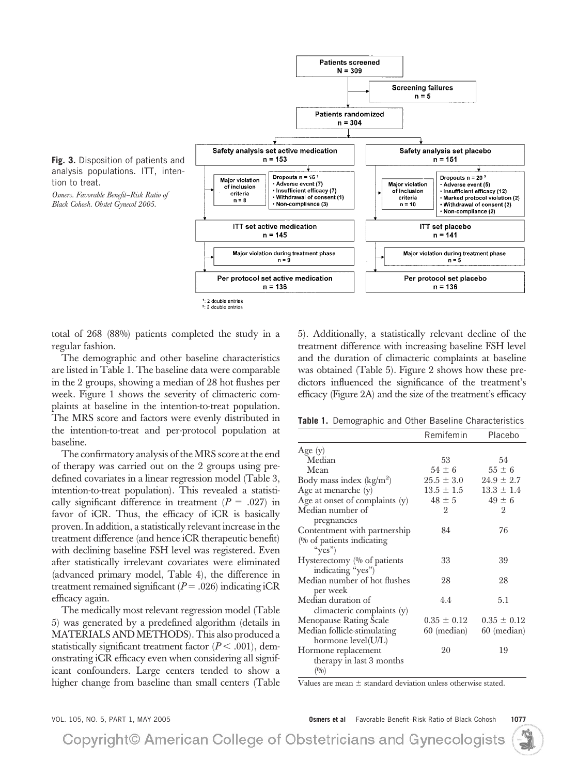

tion to treat.

<sup>2</sup>: 3 double entries

total of 268 (88%) patients completed the study in a regular fashion.

The demographic and other baseline characteristics are listed in Table 1. The baseline data were comparable in the 2 groups, showing a median of 28 hot flushes per week. Figure 1 shows the severity of climacteric complaints at baseline in the intention-to-treat population. The MRS score and factors were evenly distributed in the intention-to-treat and per-protocol population at baseline.

The confirmatory analysis of the MRS score at the end of therapy was carried out on the 2 groups using predefined covariates in a linear regression model (Table 3, intention-to-treat population). This revealed a statistically significant difference in treatment  $(P = .027)$  in favor of iCR. Thus, the efficacy of iCR is basically proven. In addition, a statistically relevant increase in the treatment difference (and hence iCR therapeutic benefit) with declining baseline FSH level was registered. Even after statistically irrelevant covariates were eliminated (advanced primary model, Table 4), the difference in treatment remained significant  $(P = .026)$  indicating iCR efficacy again.

The medically most relevant regression model (Table 5) was generated by a predefined algorithm (details in MATERIALS AND METHODS). This also produced a statistically significant treatment factor  $(P < .001)$ , demonstrating iCR efficacy even when considering all significant confounders. Large centers tended to show a higher change from baseline than small centers (Table 5). Additionally, a statistically relevant decline of the treatment difference with increasing baseline FSH level and the duration of climacteric complaints at baseline was obtained (Table 5). Figure 2 shows how these predictors influenced the significance of the treatment's efficacy (Figure 2A) and the size of the treatment's efficacy

**Table 1.** Demographic and Other Baseline Characteristics

|                                | Remifemin       | Placebo         |
|--------------------------------|-----------------|-----------------|
| Age $(y)$                      |                 |                 |
| Median                         | 53              | 54              |
| Mean                           | $54 \pm 6$      | $55 \pm 6$      |
| Body mass index $(kg/m2)$      | $25.5 \pm 3.0$  | $24.9 \pm 2.7$  |
| Age at menarche (y)            | $13.5 \pm 1.5$  | $13.3 \pm 1.4$  |
| Age at onset of complaints (y) | $48 \pm 5$      | $49 \pm 6$      |
| Median number of               | 2               | 2               |
| pregnancies                    |                 |                 |
| Contentment with partnership   | 84              | 76              |
| (% of patients indicating      |                 |                 |
| " $yes$ ")                     |                 |                 |
| Hysterectomy (% of patients    | 33              | 39              |
| indicating "yes")              |                 |                 |
| Median number of hot flushes   | 28              | 28              |
| per week                       |                 |                 |
| Median duration of             | 4.4             | 5.1             |
| climacteric complaints (y)     |                 |                 |
| Menopause Rating Scale         | $0.35 \pm 0.12$ | $0.35 \pm 0.12$ |
| Median follicle-stimulating    | 60 (median)     | 60 (median)     |
| hormone level(U/L)             |                 |                 |
| Hormone replacement            | 20              | 19              |
| therapy in last 3 months       |                 |                 |
| (0/0)                          |                 |                 |

Values are mean  $\pm$  standard deviation unless otherwise stated.

VOL. 105, NO. 5, PART 1, MAY 2005 **Osmers et al** Favorable Benefit–Risk Ratio of Black Cohosh **1077**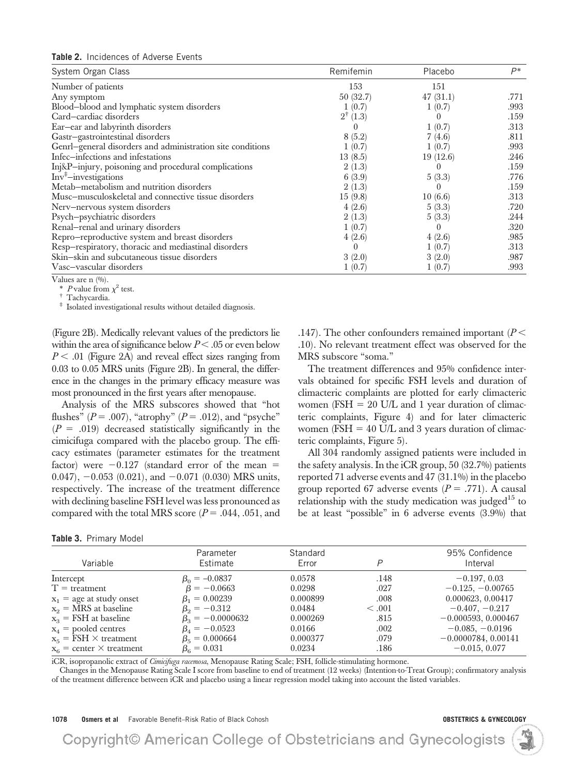| System Organ Class                                         | Remifemin           | Placebo  | $P^*$ |
|------------------------------------------------------------|---------------------|----------|-------|
| Number of patients                                         | 153                 | 151      |       |
| Any symptom                                                | 50(32.7)            | 47(31.1) | .771  |
| Blood-blood and lymphatic system disorders                 | 1(0.7)              | 1(0.7)   | .993  |
| Card-cardiac disorders                                     | $2^{\dagger}$ (1.3) |          | .159  |
| Ear-ear and labyrinth disorders                            |                     | 1(0.7)   | .313  |
| Gastr-gastrointestinal disorders                           | 8(5.2)              | 7(4.6)   | .811  |
| Genrl-general disorders and administration site conditions | 1(0.7)              | 1(0.7)   | .993  |
| Infec-infections and infestations                          | 13(8.5)             | 19(12.6) | .246  |
| Inj&P-injury, poisoning and procedural complications       | 2(1.3)              |          | .159  |
| $Inv‡$ -investigations                                     | 6(3.9)              | 5(3.3)   | .776  |
| Metab-metabolism and nutrition disorders                   | 2(1.3)              |          | .159  |
| Musc-musculoskeletal and connective tissue disorders       | 15(9.8)             | 10(6.6)  | .313  |
| Nerv-nervous system disorders                              | 4(2.6)              | 5(3.3)   | .720  |
| Psych-psychiatric disorders                                | 2(1.3)              | 5(3.3)   | .244  |
| Renal-renal and urinary disorders                          | 1(0.7)              | $\theta$ | .320  |
| Repro-reproductive system and breast disorders             | 4(2.6)              | 4(2.6)   | .985  |
| Resp-respiratory, thoracic and mediastinal disorders       |                     | 1(0.7)   | .313  |
| Skin-skin and subcutaneous tissue disorders                | 3(2.0)              | 3(2.0)   | .987  |
| Vasc-vascular disorders                                    | 1(0.7)              | 1(0.7)   | .993  |

Values are n (%).<br>\* P value from  $\chi^2$  test.

\* Tachycardia. <br>**‡** Isolated investigational results without detailed diagnosis.

(Figure 2B). Medically relevant values of the predictors lie within the area of significance below  $P < .05$  or even below *P* .01 (Figure 2A) and reveal effect sizes ranging from 0.03 to 0.05 MRS units (Figure 2B). In general, the difference in the changes in the primary efficacy measure was most pronounced in the first years after menopause.

Analysis of the MRS subscores showed that "hot flushes" ( $P = .007$ ), "atrophy" ( $P = .012$ ), and "psyche"  $(P = .019)$  decreased statistically significantly in the cimicifuga compared with the placebo group. The efficacy estimates (parameter estimates for the treatment factor) were  $-0.127$  (standard error of the mean  $=$  $(0.047)$ ,  $-0.053$   $(0.021)$ , and  $-0.071$   $(0.030)$  MRS units, respectively. The increase of the treatment difference with declining baseline FSH level was less pronounced as compared with the total MRS score  $(P = .044, .051, .064)$ 

| Table 3. Primary Model |  |  |  |
|------------------------|--|--|--|
|------------------------|--|--|--|

.147). The other confounders remained important (*P* .10). No relevant treatment effect was observed for the MRS subscore "soma."

The treatment differences and 95% confidence intervals obtained for specific FSH levels and duration of climacteric complaints are plotted for early climacteric women ( $\text{FSH} = 20 \text{ U/L}$  and 1 year duration of climacteric complaints, Figure 4) and for later climacteric women ( $\text{FSH} = 40 \text{ U/L}$  and 3 years duration of climacteric complaints, Figure 5).

All 304 randomly assigned patients were included in the safety analysis. In the iCR group, 50 (32.7%) patients reported 71 adverse events and 47 (31.1%) in the placebo group reported 67 adverse events  $(P = .771)$ . A causal relationship with the study medication was judged<sup>15</sup> to be at least "possible" in 6 adverse events (3.9%) that

| Variable                             | Parameter<br>Estimate  | Standard<br>Error | P           | 95% Confidence<br>Interval |
|--------------------------------------|------------------------|-------------------|-------------|----------------------------|
| Intercept                            | $\beta_0 = -0.0837$    | 0.0578            | .148        | $-0.197, 0.03$             |
| $T =$ treatment                      | $\beta = -0.0663$      | 0.0298            | .027        | $-0.125, -0.00765$         |
| $x_1$ = age at study onset           | $\beta_1 = 0.00239$    | 0.000899          | .008        | 0.000623, 0.00417          |
| $x_2$ = MRS at baseline              | $\beta_0 = -0.312$     | 0.0484            | $\leq .001$ | $-0.407, -0.217$           |
| $x_3$ = FSH at baseline              | $\beta_2 = -0.0000632$ | 0.000269          | .815        | $-0.000593, 0.000467$      |
| $x_4$ = pooled centres               | $\beta_4 = -0.0523$    | 0.0166            | .002        | $-0.085, -0.0196$          |
| $x_{\rm g}$ = FSH $\times$ treatment | $\beta_{5} = 0.000664$ | 0.000377          | .079        | $-0.0000784, 0.00141$      |
| $x_c$ = center $\times$ treatment    | $\beta_e = 0.031$      | 0.0234            | .186        | $-0.015, 0.077$            |

iCR, isopropanolic extract of *Cimicifuga racemosa*, Menopause Rating Scale; FSH, follicle-stimulating hormone.

Changes in the Menopause Rating Scale I score from baseline to end of treatment (12 weeks) (Intention-to-Treat Group); confirmatory analysis of the treatment difference between iCR and placebo using a linear regression model taking into account the listed variables.

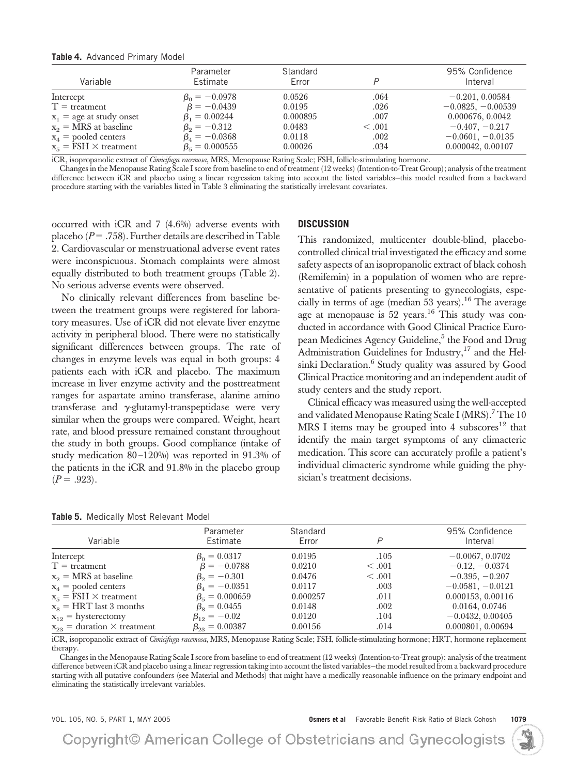### **Table 4.** Advanced Primary Model

| Variable                     | Parameter<br>Estimate  | Standard<br>Error |         | 95% Confidence<br>Interval |
|------------------------------|------------------------|-------------------|---------|----------------------------|
| Intercept                    | $\beta_0 = -0.0978$    | 0.0526            | .064    | $-0.201, 0.00584$          |
| $T =$ treatment              | $\beta = -0.0439$      | 0.0195            | .026    | $-0.0825, -0.00539$        |
| $x_1$ = age at study onset   | $\beta_1 = 0.00244$    | 0.000895          | .007    | 0.000676, 0.0042           |
| $x_2$ = MRS at baseline      | $\beta_2 = -0.312$     | 0.0483            | < 0.001 | $-0.407, -0.217$           |
| $x_4$ = pooled centers       | $\beta_4 = -0.0368$    | 0.0118            | .002    | $-0.0601, -0.0135$         |
| $x_5 = FSH \times treatment$ | $\beta_{5} = 0.000555$ | 0.00026           | .034    | 0.000042, 0.00107          |

iCR, isopropanolic extract of *Cimicifuga racemosa*, MRS, Menopause Rating Scale; FSH, follicle-stimulating hormone.

Changes in the Menopause Rating Scale I score from baseline to end of treatment (12 weeks) (Intention-to-Treat Group); analysis of the treatment difference between iCR and placebo using a linear regression taking into account the listed variables—this model resulted from a backward procedure starting with the variables listed in Table 3 eliminating the statistically irrelevant covariates.

occurred with iCR and 7 (4.6%) adverse events with placebo  $(P = .758)$ . Further details are described in Table 2. Cardiovascular or menstruational adverse event rates were inconspicuous. Stomach complaints were almost equally distributed to both treatment groups (Table 2). No serious adverse events were observed.

No clinically relevant differences from baseline between the treatment groups were registered for laboratory measures. Use of iCR did not elevate liver enzyme activity in peripheral blood. There were no statistically significant differences between groups. The rate of changes in enzyme levels was equal in both groups: 4 patients each with iCR and placebo. The maximum increase in liver enzyme activity and the posttreatment ranges for aspartate amino transferase, alanine amino transferase and  $\gamma$ -glutamyl-transpeptidase were very similar when the groups were compared. Weight, heart rate, and blood pressure remained constant throughout the study in both groups. Good compliance (intake of study medication 80 –120%) was reported in 91.3% of the patients in the iCR and 91.8% in the placebo group  $(P = .923)$ .

|  | DISCUSSION |
|--|------------|
|--|------------|

This randomized, multicenter double-blind, placebocontrolled clinical trial investigated the efficacy and some safety aspects of an isopropanolic extract of black cohosh (Remifemin) in a population of women who are representative of patients presenting to gynecologists, especially in terms of age (median 53 years).<sup>16</sup> The average age at menopause is 52 years.16 This study was conducted in accordance with Good Clinical Practice European Medicines Agency Guideline,<sup>5</sup> the Food and Drug Administration Guidelines for Industry, $17$  and the Helsinki Declaration.<sup>6</sup> Study quality was assured by Good Clinical Practice monitoring and an independent audit of study centers and the study report.

Clinical efficacy was measured using the well-accepted and validated Menopause Rating Scale I (MRS).<sup>7</sup> The 10 MRS I items may be grouped into 4 subscores<sup>12</sup> that identify the main target symptoms of any climacteric medication. This score can accurately profile a patient's individual climacteric syndrome while guiding the physician's treatment decisions.

| Variable                               | Parameter<br>Estimate  | Standard<br>Error | P           | 95% Confidence<br>Interval |
|----------------------------------------|------------------------|-------------------|-------------|----------------------------|
| Intercept                              | $\beta_0 = 0.0317$     | 0.0195            | .105        | $-0.0067, 0.0702$          |
| $T =$ treatment                        | $\beta = -0.0788$      | 0.0210            | $\leq .001$ | $-0.12, -0.0374$           |
| $x_2$ = MRS at baseline                | $\beta_2 = -0.301$     | 0.0476            | < 0.001     | $-0.395, -0.207$           |
| $x_4$ = pooled centers                 | $\beta_4 = -0.0351$    | 0.0117            | .003        | $-0.0581, -0.0121$         |
| $x_{\kappa}$ = FSH $\times$ treatment  | $\beta_{5} = 0.000659$ | 0.000257          | .011        | 0.000153, 0.00116          |
| $x_8$ = HRT last 3 months              | $\beta_s = 0.0455$     | 0.0148            | .002        | 0.0164, 0.0746             |
| $x_{12}$ = hysterectomy                | $\beta_{12} = -0.02$   | 0.0120            | .104        | $-0.0432, 0.00405$         |
| $x_{23}$ = duration $\times$ treatment | $\beta_{23} = 0.00387$ | 0.00156           | .014        | 0.000801, 0.00694          |

**Table 5.** Medically Most Relevant Model

iCR, isopropanolic extract of *Cimicifuga racemosa*, MRS, Menopause Rating Scale; FSH, follicle-stimulating hormone; HRT, hormone replacement therapy.

Changes in the Menopause Rating Scale I score from baseline to end of treatment (12 weeks) (Intention-to-Treat group); analysis of the treatment difference between iCR and placebo using a linear regression taking into account the listed variables—the model resulted from a backward procedure starting with all putative confounders (see Material and Methods) that might have a medically reasonable influence on the primary endpoint and eliminating the statistically irrelevant variables.

|  |  |  |  |  | VOL. 105, NO. 5, PART 1, MAY 200! |  |  |  |
|--|--|--|--|--|-----------------------------------|--|--|--|
|--|--|--|--|--|-----------------------------------|--|--|--|

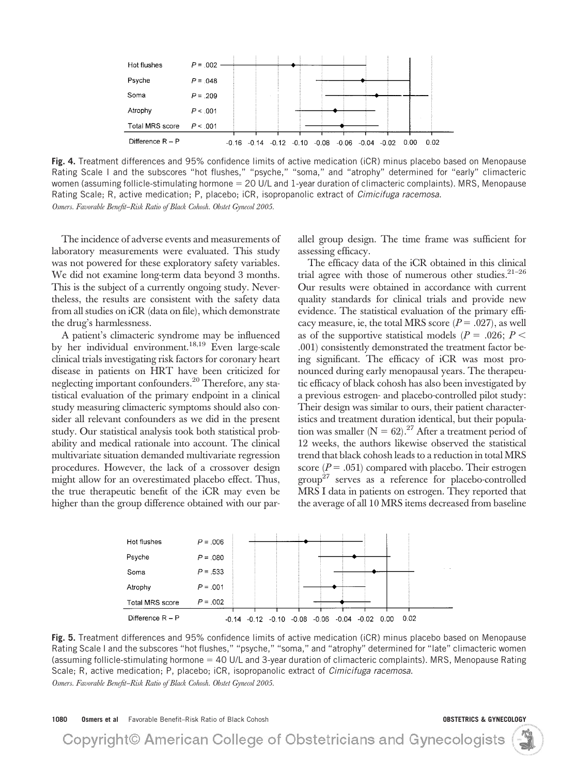

**Fig. 4.** Treatment differences and 95% confidence limits of active medication (iCR) minus placebo based on Menopause Rating Scale I and the subscores "hot flushes," "psyche," "soma," and "atrophy" determined for "early" climacteric women (assuming follicle-stimulating hormone = 20 U/L and 1-year duration of climacteric complaints). MRS, Menopause Rating Scale; R, active medication; P, placebo; iCR, isopropanolic extract of *Cimicifuga racemosa*. *Osmers. Favorable Benefit–Risk Ratio of Black Cohosh. Obstet Gynecol 2005.*

The incidence of adverse events and measurements of laboratory measurements were evaluated. This study was not powered for these exploratory safety variables. We did not examine long-term data beyond 3 months. This is the subject of a currently ongoing study. Nevertheless, the results are consistent with the safety data from all studies on iCR (data on file), which demonstrate the drug's harmlessness.

A patient's climacteric syndrome may be influenced by her individual environment.<sup>18,19</sup> Even large-scale clinical trials investigating risk factors for coronary heart disease in patients on HRT have been criticized for neglecting important confounders.20 Therefore, any statistical evaluation of the primary endpoint in a clinical study measuring climacteric symptoms should also consider all relevant confounders as we did in the present study. Our statistical analysis took both statistical probability and medical rationale into account. The clinical multivariate situation demanded multivariate regression procedures. However, the lack of a crossover design might allow for an overestimated placebo effect. Thus, the true therapeutic benefit of the iCR may even be higher than the group difference obtained with our parallel group design. The time frame was sufficient for assessing efficacy.

The efficacy data of the iCR obtained in this clinical trial agree with those of numerous other studies. $21-26$ Our results were obtained in accordance with current quality standards for clinical trials and provide new evidence. The statistical evaluation of the primary efficacy measure, ie, the total MRS score  $(P = .027)$ , as well as of the supportive statistical models ( $P = .026$ ;  $P <$ .001) consistently demonstrated the treatment factor being significant. The efficacy of iCR was most pronounced during early menopausal years. The therapeutic efficacy of black cohosh has also been investigated by a previous estrogen- and placebo-controlled pilot study: Their design was similar to ours, their patient characteristics and treatment duration identical, but their population was smaller ( $N = 62$ ).<sup>27</sup> After a treatment period of 12 weeks, the authors likewise observed the statistical trend that black cohosh leads to a reduction in total MRS score  $(P = .051)$  compared with placebo. Their estrogen group<sup>27</sup> serves as a reference for placebo-controlled MRS I data in patients on estrogen. They reported that the average of all 10 MRS items decreased from baseline



**Fig. 5.** Treatment differences and 95% confidence limits of active medication (iCR) minus placebo based on Menopause Rating Scale I and the subscores "hot flushes," "psyche," "soma," and "atrophy" determined for "late" climacteric women (assuming follicle-stimulating hormone 40 U/L and 3-year duration of climacteric complaints). MRS, Menopause Rating Scale; R, active medication; P, placebo; iCR, isopropanolic extract of *Cimicifuga racemosa*. *Osmers. Favorable Benefit–Risk Ratio of Black Cohosh. Obstet Gynecol 2005.*

**1080 Osmers et al** Favorable Benefit–Risk Ratio of Black Cohosh **OBSTETRICS & GYNECOLOGY**

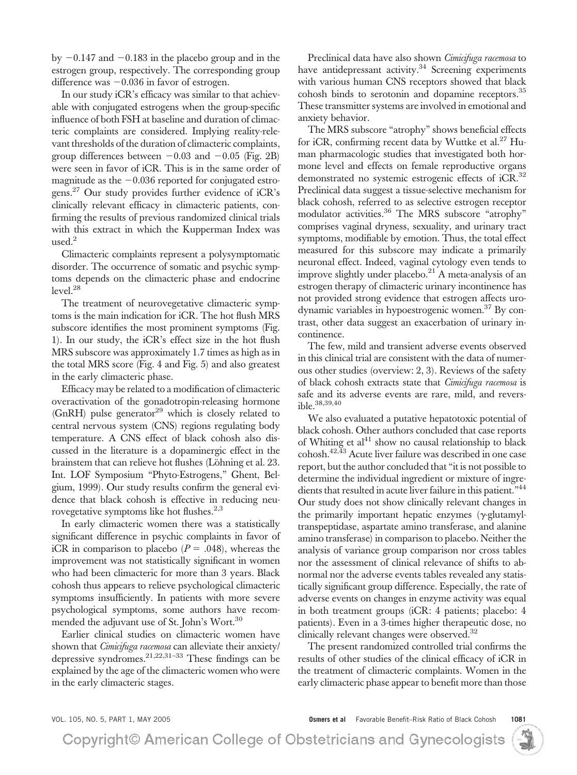by  $-0.147$  and  $-0.183$  in the placebo group and in the estrogen group, respectively. The corresponding group difference was  $-0.036$  in favor of estrogen.

In our study iCR's efficacy was similar to that achievable with conjugated estrogens when the group-specific influence of both FSH at baseline and duration of climacteric complaints are considered. Implying reality-relevant thresholds of the duration of climacteric complaints, group differences between  $-0.03$  and  $-0.05$  (Fig. 2B) were seen in favor of iCR. This is in the same order of magnitude as the  $-0.036$  reported for conjugated estrogens.<sup>27</sup> Our study provides further evidence of iCR's clinically relevant efficacy in climacteric patients, confirming the results of previous randomized clinical trials with this extract in which the Kupperman Index was used.<sup>2</sup>

Climacteric complaints represent a polysymptomatic disorder. The occurrence of somatic and psychic symptoms depends on the climacteric phase and endocrine  $level.<sup>28</sup>$ 

The treatment of neurovegetative climacteric symptoms is the main indication for iCR. The hot flush MRS subscore identifies the most prominent symptoms (Fig. 1). In our study, the iCR's effect size in the hot flush MRS subscore was approximately 1.7 times as high as in the total MRS score (Fig. 4 and Fig. 5) and also greatest in the early climacteric phase.

Efficacy may be related to a modification of climacteric overactivation of the gonadotropin-releasing hormone  $(GRRH)$  pulse generator<sup>29</sup> which is closely related to central nervous system (CNS) regions regulating body temperature. A CNS effect of black cohosh also discussed in the literature is a dopaminergic effect in the brainstem that can relieve hot flushes (Löhning et al. 23. Int. LOF Symposium "Phyto-Estrogens," Ghent, Belgium, 1999). Our study results confirm the general evidence that black cohosh is effective in reducing neurovegetative symptoms like hot flushes.<sup>2,3</sup>

In early climacteric women there was a statistically significant difference in psychic complaints in favor of iCR in comparison to placebo  $(P = .048)$ , whereas the improvement was not statistically significant in women who had been climacteric for more than 3 years. Black cohosh thus appears to relieve psychological climacteric symptoms insufficiently. In patients with more severe psychological symptoms, some authors have recommended the adjuvant use of St. John's Wort.<sup>30</sup>

Earlier clinical studies on climacteric women have shown that *Cimicifuga racemosa* can alleviate their anxiety/ depressive syndromes.<sup>21,22,31-33</sup> These findings can be explained by the age of the climacteric women who were in the early climacteric stages.

Preclinical data have also shown *Cimicifuga racemosa* to have antidepressant activity.<sup>34</sup> Screening experiments with various human CNS receptors showed that black cohosh binds to serotonin and dopamine receptors.35 These transmitter systems are involved in emotional and anxiety behavior.

The MRS subscore "atrophy" shows beneficial effects for iCR, confirming recent data by Wuttke et al.<sup>27</sup> Human pharmacologic studies that investigated both hormone level and effects on female reproductive organs demonstrated no systemic estrogenic effects of iCR.<sup>32</sup> Preclinical data suggest a tissue-selective mechanism for black cohosh, referred to as selective estrogen receptor modulator activities.<sup>36</sup> The MRS subscore "atrophy" comprises vaginal dryness, sexuality, and urinary tract symptoms, modifiable by emotion. Thus, the total effect measured for this subscore may indicate a primarily neuronal effect. Indeed, vaginal cytology even tends to improve slightly under placebo.<sup>21</sup> A meta-analysis of an estrogen therapy of climacteric urinary incontinence has not provided strong evidence that estrogen affects urodynamic variables in hypoestrogenic women.<sup>37</sup> By contrast, other data suggest an exacerbation of urinary incontinence.

The few, mild and transient adverse events observed in this clinical trial are consistent with the data of numerous other studies (overview: 2, 3). Reviews of the safety of black cohosh extracts state that *Cimicifuga racemosa* is safe and its adverse events are rare, mild, and reversible.38,39,40

We also evaluated a putative hepatotoxic potential of black cohosh. Other authors concluded that case reports of Whiting et  $al<sup>41</sup>$  show no causal relationship to black cohosh.42,43 Acute liver failure was described in one case report, but the author concluded that "it is not possible to determine the individual ingredient or mixture of ingredients that resulted in acute liver failure in this patient."<sup>44</sup> Our study does not show clinically relevant changes in the primarily important hepatic enzymes ( $\gamma$ -glutamyltranspeptidase, aspartate amino transferase, and alanine amino transferase) in comparison to placebo. Neither the analysis of variance group comparison nor cross tables nor the assessment of clinical relevance of shifts to abnormal nor the adverse events tables revealed any statistically significant group difference. Especially, the rate of adverse events on changes in enzyme activity was equal in both treatment groups (iCR: 4 patients; placebo: 4 patients). Even in a 3-times higher therapeutic dose, no clinically relevant changes were observed.<sup>32</sup>

The present randomized controlled trial confirms the results of other studies of the clinical efficacy of iCR in the treatment of climacteric complaints. Women in the early climacteric phase appear to benefit more than those

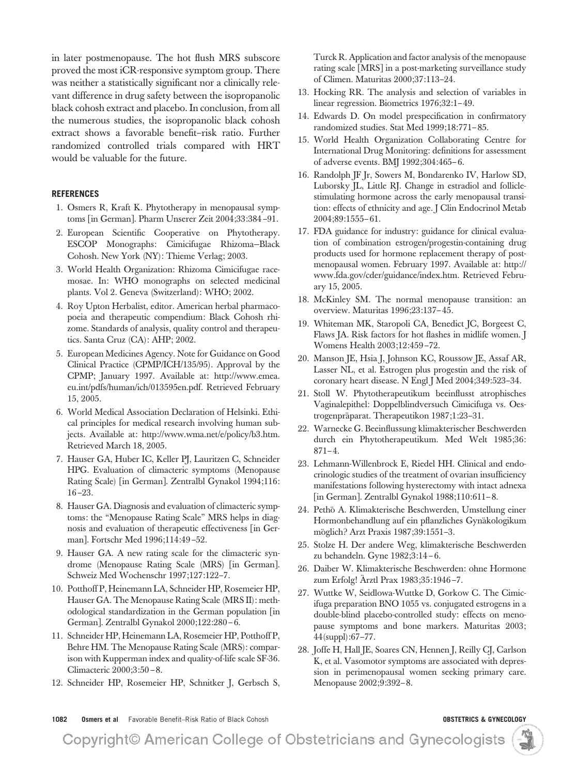in later postmenopause. The hot flush MRS subscore proved the most iCR-responsive symptom group. There was neither a statistically significant nor a clinically relevant difference in drug safety between the isopropanolic black cohosh extract and placebo. In conclusion, from all the numerous studies, the isopropanolic black cohosh extract shows a favorable benefit–risk ratio. Further randomized controlled trials compared with HRT would be valuable for the future.

### **REFERENCES**

- 1. Osmers R, Kraft K. Phytotherapy in menopausal symptoms [in German]. Pharm Unserer Zeit 2004;33:384-91.
- 2. European Scientific Cooperative on Phytotherapy. ESCOP Monographs: Cimicifugae Rhizoma—Black Cohosh. New York (NY): Thieme Verlag; 2003.
- 3. World Health Organization: Rhizoma Cimicifugae racemosae. In: WHO monographs on selected medicinal plants. Vol 2. Geneva (Switzerland): WHO; 2002.
- 4. Roy Upton Herbalist, editor. American herbal pharmacopoeia and therapeutic compendium: Black Cohosh rhizome. Standards of analysis, quality control and therapeutics. Santa Cruz (CA): AHP; 2002.
- 5. European Medicines Agency. Note for Guidance on Good Clinical Practice (CPMP/ICH/135/95). Approval by the CPMP; January 1997. Available at: http://www.emea. eu.int/pdfs/human/ich/013595en.pdf. Retrieved February 15, 2005.
- 6. World Medical Association Declaration of Helsinki. Ethical principles for medical research involving human subjects. Available at: http://www.wma.net/e/policy/b3.htm. Retrieved March 18, 2005.
- 7. Hauser GA, Huber IC, Keller PJ, Lauritzen C, Schneider HPG. Evaluation of climacteric symptoms (Menopause Rating Scale) [in German]. Zentralbl Gynakol 1994;116: 16 –23.
- 8. Hauser GA. Diagnosis and evaluation of climacteric symptoms: the "Menopause Rating Scale" MRS helps in diagnosis and evaluation of therapeutic effectiveness [in German]. Fortschr Med 1996;114:49*–*52.
- 9. Hauser GA. A new rating scale for the climacteric syndrome (Menopause Rating Scale (MRS) [in German]. Schweiz Med Wochenschr 1997;127:122–7.
- 10. Potthoff P, Heinemann LA, Schneider HP, Rosemeier HP, Hauser GA. The Menopause Rating Scale (MRS II): methodological standardization in the German population [in] German]. Zentralbl Gynakol 2000;122:280-6.
- 11. Schneider HP, Heinemann LA, Rosemeier HP, Potthoff P, Behre HM. The Menopause Rating Scale (MRS): comparison with Kupperman index and quality-of-life scale SF-36. Climacteric 2000;3:50 – 8.
- 12. Schneider HP, Rosemeier HP, Schnitker J, Gerbsch S,

Turck R. Application and factor analysis of the menopause rating scale [MRS] in a post-marketing surveillance study of Climen. Maturitas 2000;37:113–24.

- 13. Hocking RR. The analysis and selection of variables in linear regression. Biometrics 1976;32:1– 49.
- 14. Edwards D. On model prespecification in confirmatory randomized studies. Stat Med 1999;18:771– 85.
- 15. World Health Organization Collaborating Centre for International Drug Monitoring: definitions for assessment of adverse events. BMJ 1992;304:465– 6.
- 16. Randolph JF Jr, Sowers M, Bondarenko IV, Harlow SD, Luborsky JL, Little RJ. Change in estradiol and folliclestimulating hormone across the early menopausal transition: effects of ethnicity and age. J Clin Endocrinol Metab 2004;89:1555– 61.
- 17. FDA guidance for industry: guidance for clinical evaluation of combination estrogen/progestin-containing drug products used for hormone replacement therapy of postmenopausal women. February 1997. Available at: http:// www.fda.gov/cder/guidance/index.htm. Retrieved February 15, 2005.
- 18. McKinley SM. The normal menopause transition: an overview. Maturitas 1996;23:137– 45.
- 19. Whiteman MK, Staropoli CA, Benedict JC, Borgeest C, Flaws JA. Risk factors for hot flashes in midlife women. J Womens Health 2003;12:459 –72.
- 20. Manson JE, Hsia J, Johnson KC, Roussow JE, Assaf AR, Lasser NL, et al. Estrogen plus progestin and the risk of coronary heart disease. N Engl J Med 2004;349:523–34.
- 21. Stoll W. Phytotherapeutikum beeinflusst atrophisches Vaginalepithel: Doppelblindversuch Cimicifuga vs. Oestrogenpräparat. Therapeutikon 1987;1:23-31.
- 22. Warnecke G. Beeinflussung klimakterischer Beschwerden durch ein Phytotherapeutikum. Med Welt 1985;36:  $871 - 4.$
- 23. Lehmann-Willenbrock E, Riedel HH. Clinical and endocrinologic studies of the treatment of ovarian insufficiency manifestations following hysterectomy with intact adnexa [in German]. Zentralbl Gynakol 1988;110:611-8.
- 24. Pethö A. Klimakterische Beschwerden, Umstellung einer Hormonbehandlung auf ein pflanzliches Gynäkologikum möglich? Arzt Praxis 1987;39:1551-3.
- 25. Stolze H. Der andere Weg, klimakterische Beschwerden zu behandeln. Gyne 1982;3:14 – 6.
- 26. Daiber W. Klimakterische Beschwerden: ohne Hormone zum Erfolg! Ärztl Prax 1983;35:1946-7.
- 27. Wuttke W, Seidlowa-Wuttke D, Gorkow C. The Cimicifuga preparation BNO 1055 vs. conjugated estrogens in a double-blind placebo-controlled study: effects on menopause symptoms and bone markers. Maturitas 2003; 44(suppl):67–77.
- 28. Joffe H, Hall JE, Soares CN, Hennen J, Reilly CJ, Carlson K, et al. Vasomotor symptoms are associated with depression in perimenopausal women seeking primary care. Menopause 2002;9:392– 8.

**1082 Osmers et al** Favorable Benefit–Risk Ratio of Black Cohosh **OBSTETRICS & GYNECOLOGY**